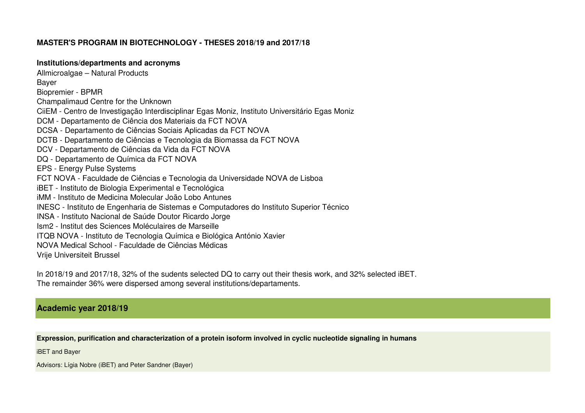# **MASTER'S PROGRAM IN BIOTECHNOLOGY - THESES 2018/19 and 2017/18**

### **Institutions/departments and acronyms**

Allmicroalgae – Natural ProductsBayer Biopremier - BPMR Champalimaud Centre for the Unknown CiiEM - Centro de Investigação Interdisciplinar Egas Moniz, Instituto Universitário Egas MonizDCM - Departamento de Ciência dos Materiais da FCT NOVA DCSA - Departamento de Ciências Sociais Aplicadas da FCT NOVA DCTB - Departamento de Ciências e Tecnologia da Biomassa da FCT NOVADCV - Departamento de Ciências da Vida da FCT NOVADQ - Departamento de Química da FCT NOVAEPS - Energy Pulse Systems FCT NOVA - Faculdade de Ciências e Tecnologia da Universidade NOVA de LisboaiBET - Instituto de Biologia Experimental e Tecnológica iMM - Instituto de Medicina Molecular João Lobo Antunes INESC - Instituto de Engenharia de Sistemas e Computadores do Instituto Superior TécnicoINSA - Instituto Nacional de Saúde Doutor Ricardo JorgeIsm2 - Institut des Sciences Moléculaires de Marseille ITQB NOVA - Instituto de Tecnologia Química e Biológica António XavierNOVA Medical School - Faculdade de Ciências MédicasVrije Universiteit Brussel

In 2018/19 and 2017/18, 32% of the sudents selected DQ to carry out their thesis work, and 32% selected iBET. The remainder 36% were dispersed among several institutions/departaments.

# **Academic year 2018/19**

**Expression, purification and characterization of a protein isoform involved in cyclic nucleotide signaling in humans**

iBET and Bayer

Advisors: Lígia Nobre (iBET) and Peter Sandner (Bayer)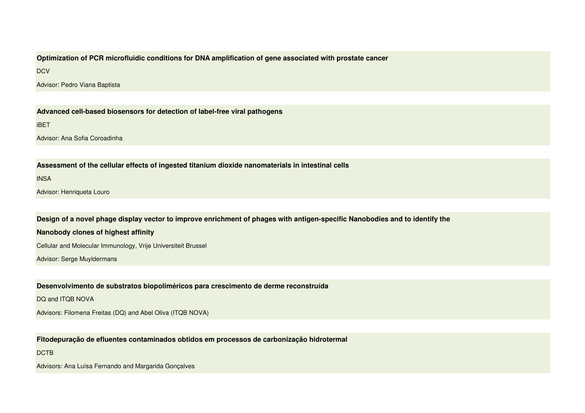### **Optimization of PCR microfluidic conditions for DNA amplification of gene associated with prostate cancer**

**DCV** 

Advisor: Pedro Viana Baptista

**Advanced cell-based biosensors for detection of label-free viral pathogens**

#### iBET

Advisor: Ana Sofia Coroadinha

**Assessment of the cellular effects of ingested titanium dioxide nanomaterials in intestinal cells**

**INSA** 

Advisor: Henriqueta Louro

**Design of a novel phage display vector to improve enrichment of phages with antigen-specific Nanobodies and to identify the** 

### **Nanobody clones of highest affinity**

Cellular and Molecular Immunology, Vrije Universiteit Brussel

Advisor: Serge Muyldermans

**Desenvolvimento de substratos biopoliméricos para crescimento de derme reconstruída**

DQ and ITQB NOVA

Advisors: Filomena Freitas (DQ) and Abel Oliva (ITQB NOVA)

**Fitodepuração de efluentes contaminados obtidos em processos de carbonização hidrotermal**

DCTB

Advisors: Ana Luísa Fernando and Margarida Gonçalves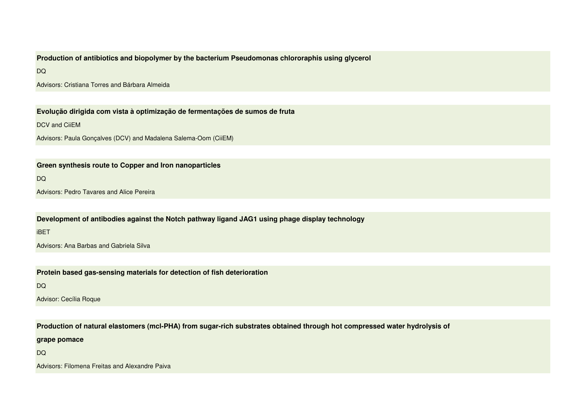# **Production of antibiotics and biopolymer by the bacterium Pseudomonas chlororaphis using glycerol**

DQ

Advisors: Cristiana Torres and Bárbara Almeida

**Evolução dirigida com vista à optimização de fermentações de sumos de fruta**

DCV and CiiFM

Advisors: Paula Gonçalves (DCV) and Madalena Salema-Oom (CiiEM)

### **Green synthesis route to Copper and Iron nanoparticles**

DQ

Advisors: Pedro Tavares and Alice Pereira

**Development of antibodies against the Notch pathway ligand JAG1 using phage display technology**

iBET

Advisors: Ana Barbas and Gabriela Silva

**Protein based gas-sensing materials for detection of fish deterioration**

DQ

Advisor: Cecília Roque

**Production of natural elastomers (mcl-PHA) from sugar-rich substrates obtained through hot compressed water hydrolysis of** 

**grape pomace**

DQ

Advisors: Filomena Freitas and Alexandre Paiva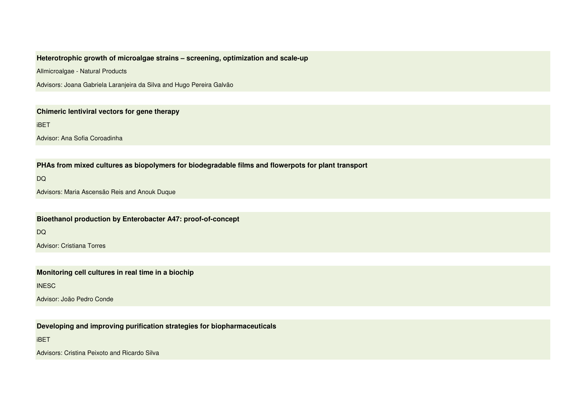# **Heterotrophic growth of microalgae strains – screening, optimization and scale-up**

Allmicroalgae - Natural Products

Advisors: Joana Gabriela Laranjeira da Silva and Hugo Pereira Galvão

### **Chimeric lentiviral vectors for gene therapy**

iBET

Advisor: Ana Sofia Coroadinha

**PHAs from mixed cultures as biopolymers for biodegradable films and flowerpots for plant transport**

DQ

Advisors: Maria Ascensão Reis and Anouk Duque

**Bioethanol production by Enterobacter A47: proof-of-concept**

DQ

Advisor: Cristiana Torres

**Monitoring cell cultures in real time in a biochip**

**INESC** 

Advisor: João Pedro Conde

**Developing and improving purification strategies for biopharmaceuticals** 

iBET

Advisors: Cristina Peixoto and Ricardo Silva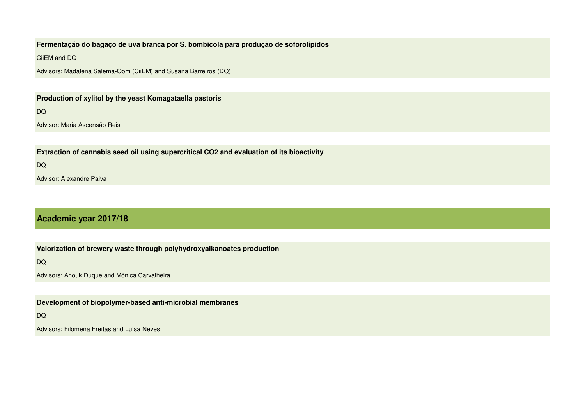# **Fermentação do bagaço de uva branca por S. bombicola para produção de soforolípidos**

CiiEM and DQ

Advisors: Madalena Salema-Oom (CiiEM) and Susana Barreiros (DQ)

# **Production of xylitol by the yeast Komagataella pastoris**

DQ

Advisor: Maria Ascensão Reis

**Extraction of cannabis seed oil using supercritical CO2 and evaluation of its bioactivity**

DQ

Advisor: Alexandre Paiva

# **Academic year 2017/18**

**Valorization of brewery waste through polyhydroxyalkanoates production**

DQ

Advisors: Anouk Duque and Mónica Carvalheira

**Development of biopolymer-based anti-microbial membranes** 

DQ

Advisors: Filomena Freitas and Luísa Neves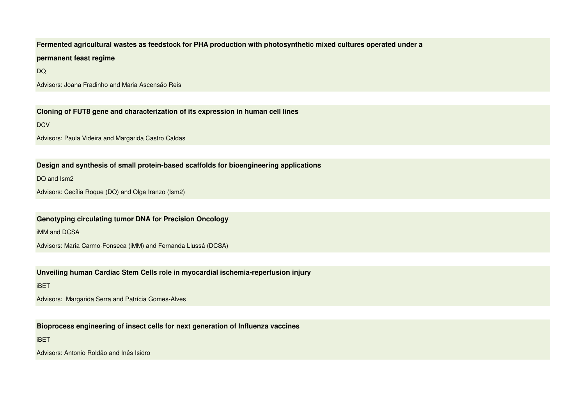#### **Fermented agricultural wastes as feedstock for PHA production with photosynthetic mixed cultures operated under a**

#### **permanent feast regime**

DQ

Advisors: Joana Fradinho and Maria Ascensão Reis

**Cloning of FUT8 gene and characterization of its expression in human cell lines**

**DCV** 

Advisors: Paula Videira and Margarida Castro Caldas

# **Design and synthesis of small protein-based scaffolds for bioengineering applications**

DQ and Ism2

Advisors: Cecília Roque (DQ) and Olga Iranzo (Ism2)

### **Genotyping circulating tumor DNA for Precision Oncology**

iMM and DCSA

Advisors: Maria Carmo-Fonseca (iMM) and Fernanda Llussá (DCSA)

# **Unveiling human Cardiac Stem Cells role in myocardial ischemia-reperfusion injury**

iBET

Advisors: Margarida Serra and Patrícia Gomes-Alves

**Bioprocess engineering of insect cells for next generation of Influenza vaccines**

iBET

Advisors: Antonio Roldão and Inês Isidro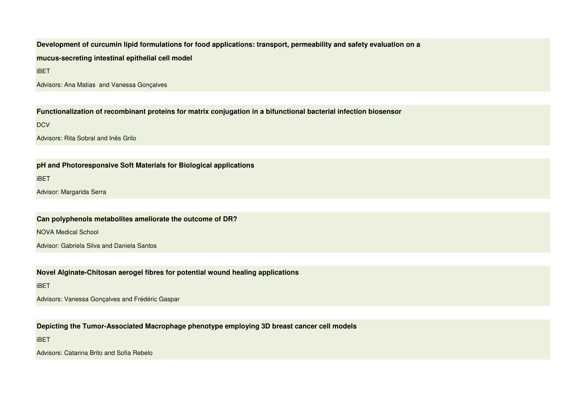**Development of curcumin lipid formulations for food applications: transport, permeability and safety evaluation on a mucus-secreting intestinal epithelial cell model**

iBET

Advisors: Ana Matias and Vanessa Gonçalves

**Functionalization of recombinant proteins for matrix conjugation in a bifunctional bacterial infection biosensor**

**DCV** 

Advisors: Rita Sobral and Inês Grilo

**pH and Photoresponsive Soft Materials for Biological applications**

iBET

Advisor: Margarida Serra

**Can polyphenols metabolites ameliorate the outcome of DR?**

NOVA Medical School

Advisor: Gabriela Silva and Daniela Santos

**Novel Alginate-Chitosan aerogel fibres for potential wound healing applications**

iBET

Advisors: Vanessa Gonçalves and Frédéric Gaspar

**Depicting the Tumor-Associated Macrophage phenotype employing 3D breast cancer cell models**

iBET

Advisors: Catarina Brito and Sofia Rebelo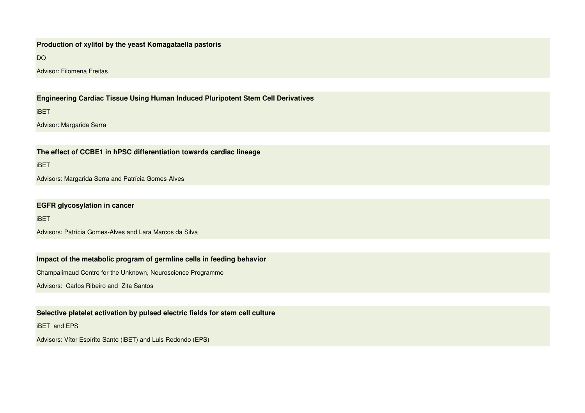### **Production of xylitol by the yeast Komagataella pastoris**

DQ

Advisor: Filomena Freitas

# **Engineering Cardiac Tissue Using Human Induced Pluripotent Stem Cell Derivatives**

iBET

Advisor: Margarida Serra

**The effect of CCBE1 in hPSC differentiation towards cardiac lineage**

iBET

Advisors: Margarida Serra and Patrícia Gomes-Alves

**EGFR glycosylation in cancer**

iBET

Advisors: Patrícia Gomes-Alves and Lara Marcos da Silva

# **Impact of the metabolic program of germline cells in feeding behavior**

Champalimaud Centre for the Unknown, Neuroscience Programme

Advisors: Carlos Ribeiro and Zita Santos

### **Selective platelet activation by pulsed electric fields for stem cell culture**

iBET and EPS

Advisors: Vítor Espírito Santo (iBET) and Luis Redondo (EPS)